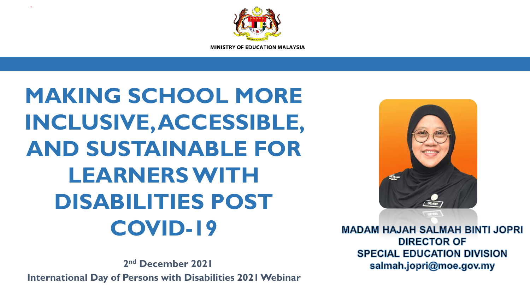

**MAKING SCHOOL MORE INCLUSIVE, ACCESSIBLE, AND SUSTAINABLE FOR LEARNERS WITH DISABILITIES POST COVID-19**

**2nd December 2021**

**International Day of Persons with Disabilities 2021 Webinar**



**MADAM HAJAH SALMAH BINTI JOPRI DIRECTOR OF SPECIAL EDUCATION DIVISION** salmah.jopri@moe.gov.my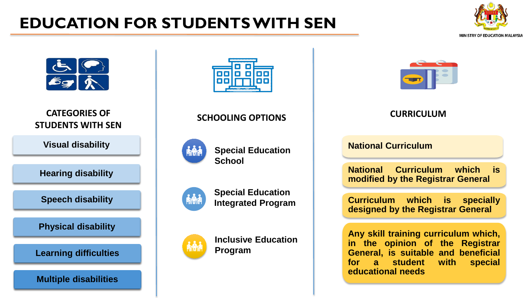## **EDUCATION FOR STUDENTS WITH SEN**





**CATEGORIES OF STUDENTS WITH SEN**

**Visual disability**

**Hearing disability**

**Speech disability**

**Physical disability**

**Learning difficulties**

**Multiple disabilities**



### **SCHOOLING OPTIONS CURRICULUM**





**Special Education** 







**Inclusive Education Program**



#### **National Curriculum**

**National Curriculum which is modified by the Registrar General**

**Curriculum which is specially designed by the Registrar General**

**Any skill training curriculum which, in the opinion of the Registrar General, is suitable and beneficial for a student with special educational needs**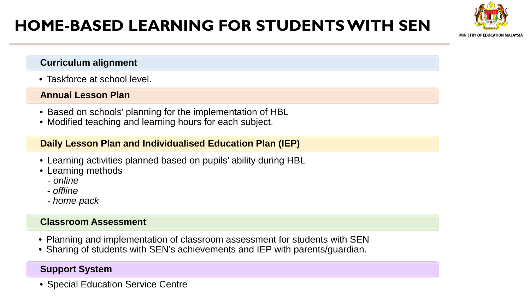## **HOME-BASED LEARNING FOR STUDENTS WITH SEN**

# MINISTRY OF EDUCATION MALAYSIA

#### **Curriculum alignment**

• Taskforce at school level.

#### **Annual Lesson Plan**

- Based on schools' planning for the implementation of HBL
- Modified teaching and learning hours for each subject.

#### **Daily Lesson Plan and Individualised Education Plan (IEP)**

- Learning activities planned based on pupils' ability during HBL
- Learning methods
	- *online*
	- *offline*
	- *- home pack*

#### **Classroom Assessment**

- Planning and implementation of classroom assessment for students with SEN
- Sharing of students with SEN's achievements and IEP with parents/guardian.

#### **Support System**

• Special Education Service Centre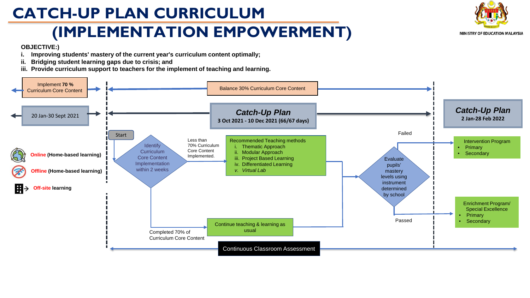## **CATCH-UP PLAN CURRICULUM**

## **(IMPLEMENTATION EMPOWERMENT)**



#### **OBJECTIVE:)**

- **i. Improving students' mastery of the current year's curriculum content optimally;**
- **ii. Bridging student learning gaps due to crisis; and**
- **iii. Provide curriculum support to teachers for the implement of teaching and learning.**